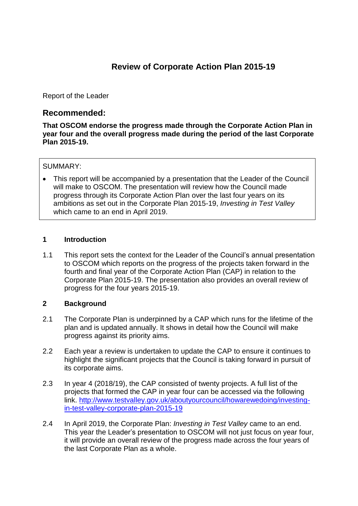# **Review of Corporate Action Plan 2015-19**

Report of the Leader

# **Recommended:**

**That OSCOM endorse the progress made through the Corporate Action Plan in year four and the overall progress made during the period of the last Corporate Plan 2015-19.** 

#### SUMMARY:

 This report will be accompanied by a presentation that the Leader of the Council will make to OSCOM. The presentation will review how the Council made progress through its Corporate Action Plan over the last four years on its ambitions as set out in the Corporate Plan 2015-19, *Investing in Test Valley* which came to an end in April 2019.

#### **1 Introduction**

1.1 This report sets the context for the Leader of the Council's annual presentation to OSCOM which reports on the progress of the projects taken forward in the fourth and final year of the Corporate Action Plan (CAP) in relation to the Corporate Plan 2015-19. The presentation also provides an overall review of progress for the four years 2015-19.

### **2 Background**

- 2.1 The Corporate Plan is underpinned by a CAP which runs for the lifetime of the plan and is updated annually. It shows in detail how the Council will make progress against its priority aims.
- 2.2 Each year a review is undertaken to update the CAP to ensure it continues to highlight the significant projects that the Council is taking forward in pursuit of its corporate aims.
- 2.3 In year 4 (2018/19), the CAP consisted of twenty projects. A full list of the projects that formed the CAP in year four can be accessed via the following link. [http://www.testvalley.gov.uk/aboutyourcouncil/howarewedoing/investing](http://www.testvalley.gov.uk/aboutyourcouncil/howarewedoing/investing-in-test-valley-corporate-plan-2015-19)[in-test-valley-corporate-plan-2015-19](http://www.testvalley.gov.uk/aboutyourcouncil/howarewedoing/investing-in-test-valley-corporate-plan-2015-19)
- 2.4 In April 2019, the Corporate Plan: *Investing in Test Valley* came to an end. This year the Leader's presentation to OSCOM will not just focus on year four, it will provide an overall review of the progress made across the four years of the last Corporate Plan as a whole.